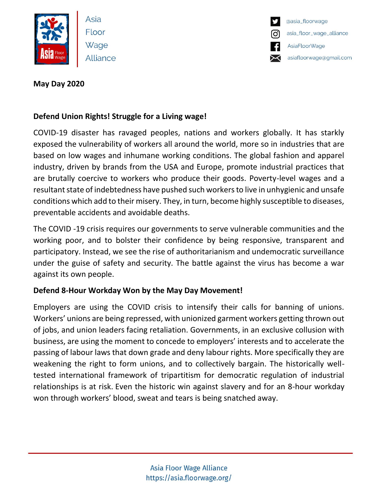

Asia Floor Wage Alliance



# **May Day 2020**

# **Defend Union Rights! Struggle for a Living wage!**

COVID-19 disaster has ravaged peoples, nations and workers globally. It has starkly exposed the vulnerability of workers all around the world, more so in industries that are based on low wages and inhumane working conditions. The global fashion and apparel industry, driven by brands from the USA and Europe, promote industrial practices that are brutally coercive to workers who produce their goods. Poverty-level wages and a resultant state of indebtedness have pushed such workers to live in unhygienic and unsafe conditions which add to their misery. They, in turn, become highly susceptible to diseases, preventable accidents and avoidable deaths.

The COVID -19 crisis requires our governments to serve vulnerable communities and the working poor, and to bolster their confidence by being responsive, transparent and participatory. Instead, we see the rise of authoritarianism and undemocratic surveillance under the guise of safety and security. The battle against the virus has become a war against its own people.

# **Defend 8-Hour Workday Won by the May Day Movement!**

Employers are using the COVID crisis to intensify their calls for banning of unions. Workers' unions are being repressed, with unionized garment workers getting thrown out of jobs, and union leaders facing retaliation. Governments, in an exclusive collusion with business, are using the moment to concede to employers' interests and to accelerate the passing of labour laws that down grade and deny labour rights. More specifically they are weakening the right to form unions, and to collectively bargain. The historically welltested international framework of tripartitism for democratic regulation of industrial relationships is at risk. Even the historic win against slavery and for an 8-hour workday won through workers' blood, sweat and tears is being snatched away.